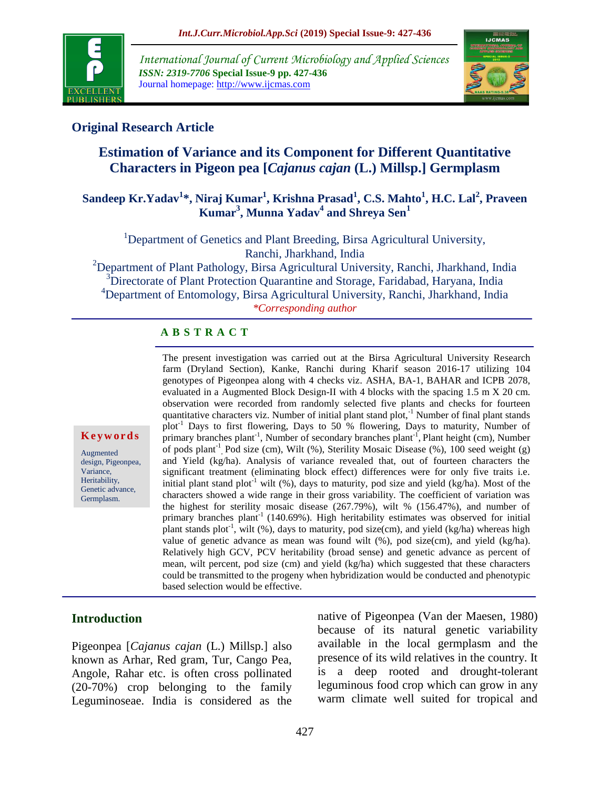

*International Journal of Current Microbiology and Applied Sciences ISSN: 2319-7706* **Special Issue-9 pp. 427-436** Journal homepage: http://www.ijcmas.com



## **Original Research Article**

# **Estimation of Variance and its Component for Different Quantitative Characters in Pigeon pea [***Cajanus cajan* **(L.) Millsp.] Germplasm**

### **Sandeep Kr.Yadav<sup>1</sup> \*, Niraj Kumar<sup>1</sup> , Krishna Prasad<sup>1</sup> , C.S. Mahto<sup>1</sup> , H.C. Lal<sup>2</sup> , Praveen Kumar<sup>3</sup> , Munna Yadav<sup>4</sup> and Shreya Sen<sup>1</sup>**

<sup>1</sup>Department of Genetics and Plant Breeding, Birsa Agricultural University, Ranchi, Jharkhand, India

<sup>2</sup>Department of Plant Pathology, Birsa Agricultural University, Ranchi, Jharkhand, India <sup>3</sup>Directorate of Plant Protection Quarantine and Storage, Faridabad, Haryana, India <sup>4</sup>Department of Entomology, Birsa Agricultural University, Ranchi, Jharkhand, India *\*Corresponding author*

### **A B S T R A C T**

The present investigation was carried out at the Birsa Agricultural University Research farm (Dryland Section), Kanke, Ranchi during Kharif season 2016-17 utilizing 104 genotypes of Pigeonpea along with 4 checks viz. ASHA, BA-1, BAHAR and ICPB 2078, evaluated in a Augmented Block Design-II with 4 blocks with the spacing 1.5 m X 20 cm. observation were recorded from randomly selected five plants and checks for fourteen quantitative characters viz. Number of initial plant stand plot, $^{-1}$  Number of final plant stands plot-1 Days to first flowering, Days to 50 % flowering, Days to maturity, Number of primary branches plant<sup>-1</sup>, Number of secondary branches plant<sup>-1</sup>, Plant height (cm), Number of pods plant<sup>-1</sup>, Pod size (cm), Wilt (%), Sterility Mosaic Disease (%), 100 seed weight (g) and Yield (kg/ha). Analysis of variance revealed that, out of fourteen characters the significant treatment (eliminating block effect) differences were for only five traits i.e. initial plant stand plot<sup>-1</sup> wilt (%), days to maturity, pod size and yield (kg/ha). Most of the characters showed a wide range in their gross variability. The coefficient of variation was the highest for sterility mosaic disease (267.79%), wilt % (156.47%), and number of primary branches plant<sup>-1</sup> (140.69%). High heritability estimates was observed for initial plant stands plot<sup>-1</sup>, wilt (%), days to maturity, pod size(cm), and yield (kg/ha) whereas high value of genetic advance as mean was found wilt (%), pod size(cm), and yield (kg/ha). Relatively high GCV, PCV heritability (broad sense) and genetic advance as percent of mean, wilt percent, pod size (cm) and yield (kg/ha) which suggested that these characters could be transmitted to the progeny when hybridization would be conducted and phenotypic based selection would be effective.

#### **K e y w o r d s**

Augmented design, Pigeonpea, Variance, Heritability, Genetic advance, Germplasm.

### **Introduction**

Pigeonpea [*Cajanus cajan* (L.) Millsp.] also known as Arhar, Red gram, Tur, Cango Pea, Angole, Rahar etc. is often cross pollinated (20-70%) crop belonging to the family Leguminoseae. India is considered as the native of Pigeonpea (Van der Maesen, 1980) because of its natural genetic variability available in the local germplasm and the presence of its wild relatives in the country. It is a deep rooted and drought-tolerant leguminous food crop which can grow in any warm climate well suited for tropical and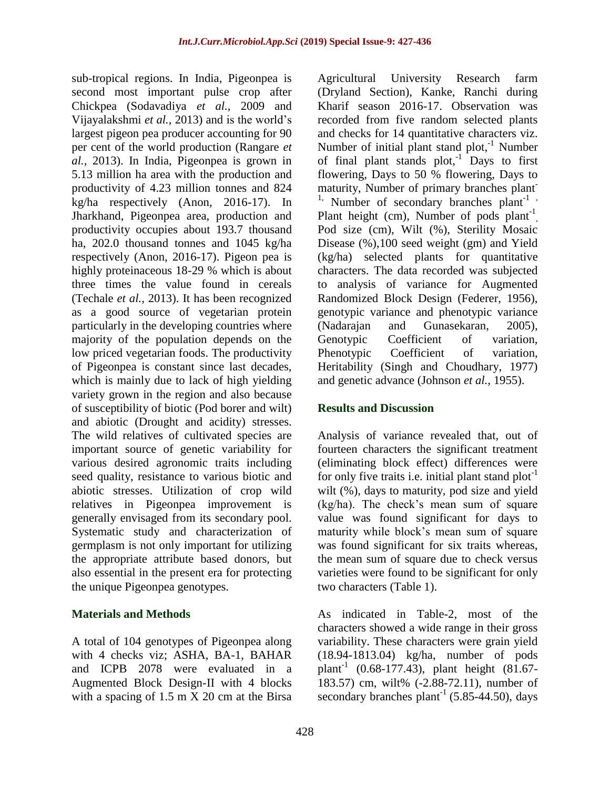sub-tropical regions. In India, Pigeonpea is second most important pulse crop after Chickpea (Sodavadiya *et al.,* 2009 and Vijayalakshmi *et al.,* 2013) and is the world's largest pigeon pea producer accounting for 90 per cent of the world production (Rangare *et al.,* 2013). In India, Pigeonpea is grown in 5.13 million ha area with the production and productivity of 4.23 million tonnes and 824 kg/ha respectively (Anon, 2016-17). In Jharkhand, Pigeonpea area, production and productivity occupies about 193.7 thousand ha, 202.0 thousand tonnes and 1045 kg/ha respectively (Anon, 2016-17). Pigeon pea is highly proteinaceous 18-29 % which is about three times the value found in cereals (Techale *et al.,* 2013). It has been recognized as a good source of vegetarian protein particularly in the developing countries where majority of the population depends on the low priced vegetarian foods. The productivity of Pigeonpea is constant since last decades, which is mainly due to lack of high yielding variety grown in the region and also because of susceptibility of biotic (Pod borer and wilt) and abiotic (Drought and acidity) stresses. The wild relatives of cultivated species are important source of genetic variability for various desired agronomic traits including seed quality, resistance to various biotic and abiotic stresses. Utilization of crop wild relatives in Pigeonpea improvement is generally envisaged from its secondary pool. Systematic study and characterization of germplasm is not only important for utilizing the appropriate attribute based donors, but also essential in the present era for protecting the unique Pigeonpea genotypes.

### **Materials and Methods**

A total of 104 genotypes of Pigeonpea along with 4 checks viz; ASHA, BA-1, BAHAR and ICPB 2078 were evaluated in a Augmented Block Design-II with 4 blocks with a spacing of 1.5 m X 20 cm at the Birsa

Agricultural University Research farm (Dryland Section), Kanke, Ranchi during Kharif season 2016-17. Observation was recorded from five random selected plants and checks for 14 quantitative characters viz. Number of initial plant stand plot, $^{-1}$  Number of final plant stands  $plot^{-1}$ . Days to first flowering, Days to 50 % flowering, Days to maturity, Number of primary branches plant-<sup>1,</sup> Number of secondary branches plant<sup>-1</sup>, Plant height (cm), Number of pods plant<sup>-1</sup>, Pod size (cm), Wilt (%), Sterility Mosaic Disease (%),100 seed weight (gm) and Yield (kg/ha) selected plants for quantitative characters. The data recorded was subjected to analysis of variance for Augmented Randomized Block Design (Federer, 1956), genotypic variance and phenotypic variance (Nadarajan and Gunasekaran, 2005), Genotypic Coefficient of variation, Phenotypic Coefficient of variation, Heritability (Singh and Choudhary, 1977) and genetic advance (Johnson *et al.,* 1955).

## **Results and Discussion**

Analysis of variance revealed that, out of fourteen characters the significant treatment (eliminating block effect) differences were for only five traits i.e. initial plant stand  $plot^{-1}$ wilt (%), days to maturity, pod size and yield (kg/ha). The check's mean sum of square value was found significant for days to maturity while block's mean sum of square was found significant for six traits whereas, the mean sum of square due to check versus varieties were found to be significant for only two characters (Table 1).

As indicated in Table-2, most of the characters showed a wide range in their gross variability. These characters were grain yield (18.94-1813.04) kg/ha, number of pods plant<sup>-1</sup> (0.68-177.43), plant height  $(81.67 -$ 183.57) cm, wilt% (-2.88-72.11), number of secondary branches  $plant^{-1}$  (5.85-44.50), days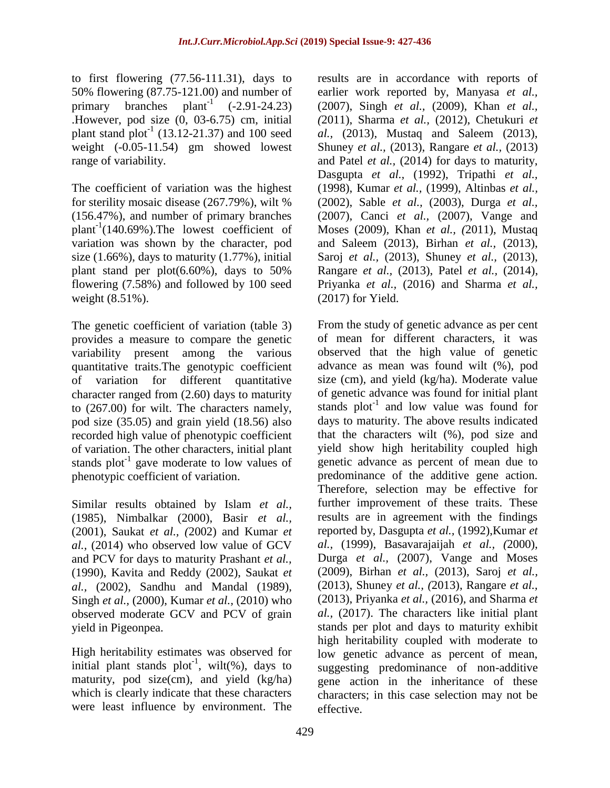to first flowering (77.56-111.31), days to 50% flowering (87.75-121.00) and number of primary branches plant<sup>-1</sup>  $(-2.91-24.23)$ .However, pod size (0, 03-6.75) cm, initial plant stand  $plot^{-1}$  (13.12-21.37) and 100 seed weight (-0.05-11.54) gm showed lowest range of variability.

The coefficient of variation was the highest for sterility mosaic disease (267.79%), wilt % (156.47%), and number of primary branches  $plant^{-1}(140.69\%)$ . The lowest coefficient of variation was shown by the character, pod size (1.66%), days to maturity (1.77%), initial plant stand per plot(6.60%), days to 50% flowering (7.58%) and followed by 100 seed weight (8.51%).

The genetic coefficient of variation (table 3) provides a measure to compare the genetic variability present among the various quantitative traits.The genotypic coefficient of variation for different quantitative character ranged from (2.60) days to maturity to (267.00) for wilt. The characters namely, pod size (35.05) and grain yield (18.56) also recorded high value of phenotypic coefficient of variation. The other characters, initial plant stands  $plot^{-1}$  gave moderate to low values of phenotypic coefficient of variation.

Similar results obtained by Islam *et al.,*  (1985), Nimbalkar (2000), Basir *et al.,*  (2001), Saukat *et al., (*2002) and Kumar *et al.,* (2014) who observed low value of GCV and PCV for days to maturity Prashant *et al.,*  (1990), Kavita and Reddy (2002), Saukat *et al.,* (2002), Sandhu and Mandal (1989), Singh *et al.,* (2000), Kumar *et al.,* (2010) who observed moderate GCV and PCV of grain yield in Pigeonpea.

High heritability estimates was observed for initial plant stands  $plot^{-1}$ , wilt(%), days to maturity, pod size(cm), and yield  $(kg/ha)$ which is clearly indicate that these characters were least influence by environment. The

results are in accordance with reports of earlier work reported by, Manyasa *et al.,* (2007), Singh *et al.,* (2009), Khan *et al., (*2011), Sharma *et al.,* (2012), Chetukuri *et al.,* (2013), Mustaq and Saleem (2013), Shuney *et al.,* (2013), Rangare *et al.,* (2013) and Patel *et al.,* (2014) for days to maturity, Dasgupta *et al.,* (1992), Tripathi *et al.,* (1998), Kumar *et al.,* (1999), Altinbas *et al.,* (2002), Sable *et al.,* (2003), Durga *et al.,* (2007), Canci *et al.,* (2007), Vange and Moses (2009), Khan *et al., (*2011), Mustaq and Saleem (2013), Birhan *et al.,* (2013), Saroj *et al.,* (2013), Shuney *et al.,* (2013), Rangare *et al.,* (2013), Patel *et al.,* (2014), Priyanka *et al.,* (2016) and Sharma *et al.,* (2017) for Yield.

From the study of genetic advance as per cent of mean for different characters, it was observed that the high value of genetic advance as mean was found wilt (%), pod size (cm), and yield (kg/ha). Moderate value of genetic advance was found for initial plant stands plot<sup>-1</sup> and low value was found for days to maturity. The above results indicated that the characters wilt (%), pod size and yield show high heritability coupled high genetic advance as percent of mean due to predominance of the additive gene action. Therefore, selection may be effective for further improvement of these traits. These results are in agreement with the findings reported by, Dasgupta *et al.,* (1992),Kumar *et al.,* (1999), Basavarajaijah *et al., (*2000), Durga *et al.,* (2007), Vange and Moses (2009), Birhan *et al.,* (2013), Saroj *et al.,*  (2013), Shuney *et al., (*2013), Rangare *et al.,*  (2013), Priyanka *et al.,* (2016), and Sharma *et al.,* (2017). The characters like initial plant stands per plot and days to maturity exhibit high heritability coupled with moderate to low genetic advance as percent of mean, suggesting predominance of non-additive gene action in the inheritance of these characters; in this case selection may not be effective.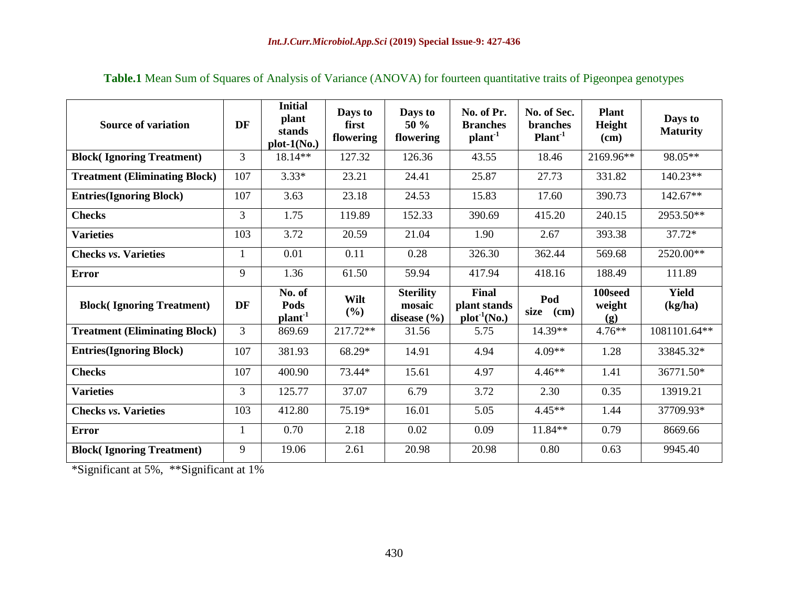| <b>Source of variation</b>           | DF             | <b>Initial</b><br>plant<br>stands<br>$plot-1(No.)$ | Days to<br>first<br>flowering | Days to<br>50 %<br>flowering | No. of Pr.<br><b>Branches</b><br>$plan-1$ | No. of Sec.<br><b>branches</b><br>Plant <sup>1</sup> | <b>Plant</b><br>Height<br>(cm) | Days to<br><b>Maturity</b> |
|--------------------------------------|----------------|----------------------------------------------------|-------------------------------|------------------------------|-------------------------------------------|------------------------------------------------------|--------------------------------|----------------------------|
| <b>Block(Ignoring Treatment)</b>     | 3              | 18.14**                                            | 127.32                        | 126.36                       | 43.55                                     | 18.46                                                | 2169.96**                      | 98.05**                    |
| <b>Treatment (Eliminating Block)</b> | 107            | $3.33*$                                            | 23.21                         | 24.41                        | 25.87                                     | 27.73                                                | 331.82                         | 140.23**                   |
| <b>Entries(Ignoring Block)</b>       | 107            | 3.63                                               | 23.18                         | 24.53                        | 15.83                                     | 17.60                                                | 390.73                         | $142.67**$                 |
| <b>Checks</b>                        | $\overline{3}$ | 1.75                                               | 119.89                        | 152.33                       | 390.69                                    | 415.20                                               | 240.15                         | 2953.50**                  |
| <b>Varieties</b>                     | 103            | 3.72                                               | 20.59                         | 21.04                        | 1.90                                      | 2.67                                                 | 393.38                         | 37.72*                     |
| <b>Checks vs. Varieties</b>          | 1              | 0.01                                               | 0.11                          | 0.28                         | 326.30                                    | 362.44                                               | 569.68                         | 2520.00**                  |
| <b>Error</b>                         | 9              | 1.36                                               | 61.50                         | 59.94                        | 417.94                                    | 418.16                                               | 188.49                         | 111.89                     |
| <b>Block(Ignoring Treatment)</b>     | DF             | No. of<br>Pods                                     | Wilt                          | <b>Sterility</b><br>mosaic   | Final<br>plant stands                     | Pod                                                  | 100seed<br>weight              | <b>Yield</b><br>(kg/ha)    |
|                                      |                | $plant-1$                                          | (%)                           | disease $(\% )$              | $plot^{-1}(No.)$                          | size<br>(cm)                                         | (g)                            |                            |
| <b>Treatment (Eliminating Block)</b> | 3              | 869.69                                             | 217.72**                      | 31.56                        | 5.75                                      | 14.39**                                              | $4.76**$                       | 1081101.64**               |
| <b>Entries(Ignoring Block)</b>       | 107            | 381.93                                             | 68.29*                        | 14.91                        | 4.94                                      | $4.09**$                                             | 1.28                           | 33845.32*                  |
| <b>Checks</b>                        | 107            | 400.90                                             | 73.44*                        | 15.61                        | 4.97                                      | $4.46**$                                             | 1.41                           | 36771.50*                  |
| <b>Varieties</b>                     | 3              | 125.77                                             | 37.07                         | 6.79                         | 3.72                                      | 2.30                                                 | 0.35                           | 13919.21                   |
| <b>Checks vs. Varieties</b>          | 103            | 412.80                                             | 75.19*                        | 16.01                        | 5.05                                      | $4.45**$                                             | 1.44                           | 37709.93*                  |
| <b>Error</b>                         | 1              | 0.70                                               | 2.18                          | 0.02                         | 0.09                                      | $11.84**$                                            | 0.79                           | 8669.66                    |

**Table.1** Mean Sum of Squares of Analysis of Variance (ANOVA) for fourteen quantitative traits of Pigeonpea genotypes

\*Significant at 5%, \*\*Significant at 1%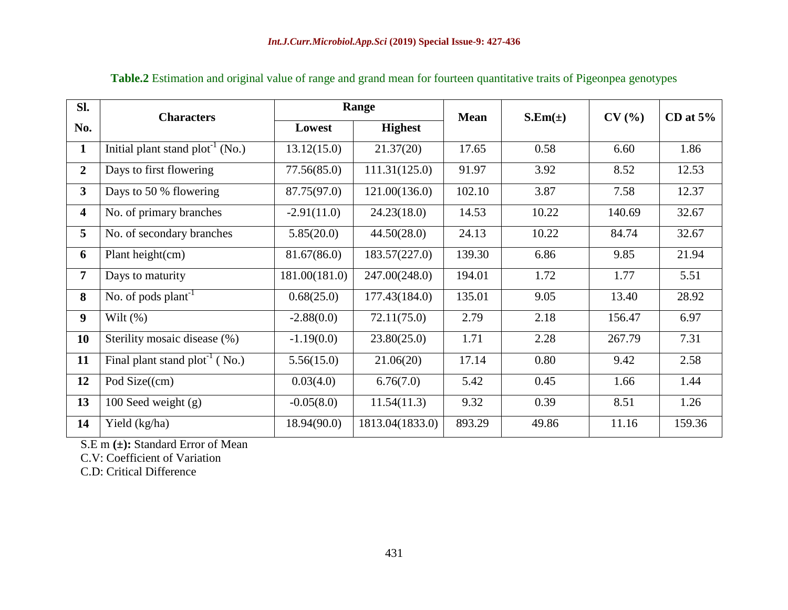| SI.            | <b>Characters</b>                     | Range         |                 | <b>Mean</b> | $S.Em(\pm)$ | CV(%)  | CD at $5\%$ |  |
|----------------|---------------------------------------|---------------|-----------------|-------------|-------------|--------|-------------|--|
| No.            |                                       | Lowest        | <b>Highest</b>  |             |             |        |             |  |
| 1              | Initial plant stand $plot^{-1} (No.)$ | 13.12(15.0)   | 21.37(20)       | 17.65       | 0.58        | 6.60   | 1.86        |  |
| $\overline{2}$ | Days to first flowering               | 77.56(85.0)   | 111.31(125.0)   | 91.97       | 3.92        | 8.52   | 12.53       |  |
| $\mathbf{3}$   | Days to 50 % flowering                | 87.75(97.0)   | 121.00(136.0)   | 102.10      | 3.87        | 7.58   | 12.37       |  |
| 4              | No. of primary branches               | $-2.91(11.0)$ | 24.23(18.0)     | 14.53       | 10.22       | 140.69 | 32.67       |  |
| 5              | No. of secondary branches             | 5.85(20.0)    | 44.50(28.0)     | 24.13       | 10.22       | 84.74  | 32.67       |  |
| 6              | Plant height(cm)                      | 81.67(86.0)   | 183.57(227.0)   | 139.30      | 6.86        | 9.85   | 21.94       |  |
| $\overline{7}$ | Days to maturity                      | 181.00(181.0) | 247.00(248.0)   | 194.01      | 1.72        | 1.77   | 5.51        |  |
| 8              | No. of pods $plant^{-1}$              | 0.68(25.0)    | 177.43(184.0)   | 135.01      | 9.05        | 13.40  | 28.92       |  |
| 9 <sup>°</sup> | Wilt $(\% )$                          | $-2.88(0.0)$  | 72.11(75.0)     | 2.79        | 2.18        | 156.47 | 6.97        |  |
| 10             | Sterility mosaic disease (%)          | $-1.19(0.0)$  | 23.80(25.0)     | 1.71        | 2.28        | 267.79 | 7.31        |  |
| 11             | Final plant stand $plot^{-1}$ (No.)   | 5.56(15.0)    | 21.06(20)       | 17.14       | 0.80        | 9.42   | 2.58        |  |
| 12             | Pod Size $({cm})$                     | 0.03(4.0)     | 6.76(7.0)       | 5.42        | 0.45        | 1.66   | 1.44        |  |
| 13             | 100 Seed weight $(g)$                 | $-0.05(8.0)$  | 11.54(11.3)     | 9.32        | 0.39        | 8.51   | 1.26        |  |
| 14             | Yield (kg/ha)                         | 18.94(90.0)   | 1813.04(1833.0) | 893.29      | 49.86       | 11.16  | 159.36      |  |

# **Table.2** Estimation and original value of range and grand mean for fourteen quantitative traits of Pigeonpea genotypes

S.E m **(±):** Standard Error of Mean

C.V: Coefficient of Variation

C.D: Critical Difference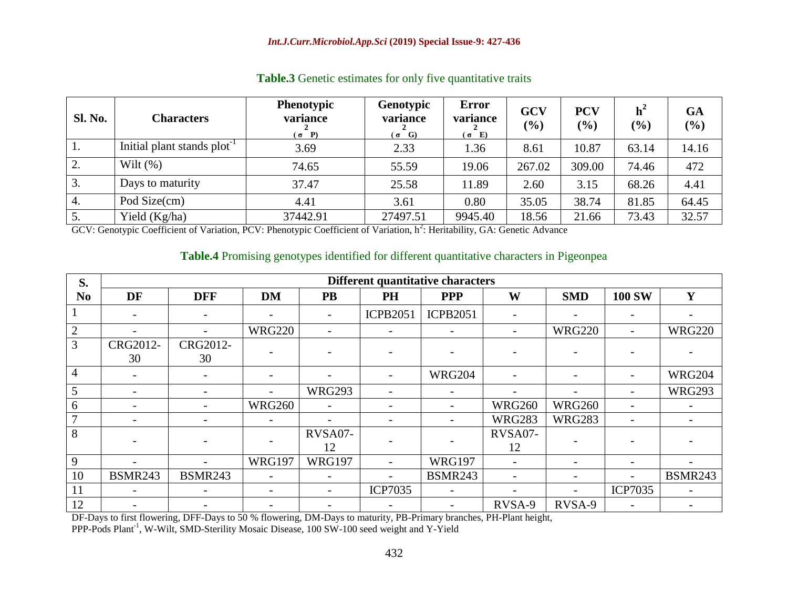| <b>Sl. No.</b> | <b>Characters</b>                       | <b>Phenotypic</b><br>variance<br>$(\sigma \quad P)$ | Genotypic<br>variance<br>$(\sigma$ G) | <b>Error</b><br>variance<br>$(\sigma$ E) | GCV<br>$\left( \frac{0}{0} \right)$ | <b>PCV</b><br>$\frac{1}{2}$ | h <sup>2</sup><br>$(\%)$ | <b>GA</b><br>$(\%)$ |
|----------------|-----------------------------------------|-----------------------------------------------------|---------------------------------------|------------------------------------------|-------------------------------------|-----------------------------|--------------------------|---------------------|
| 1.             | Initial plant stands plot <sup>-1</sup> | 3.69                                                | 2.33                                  | 1.36                                     | 8.61                                | 10.87                       | 63.14                    | 14.16               |
| 2.             | Wilt $(\% )$                            | 74.65                                               | 55.59                                 | 19.06                                    | 267.02                              | 309.00                      | 74.46                    | 472                 |
| 3.             | Days to maturity                        | 37.47                                               | 25.58                                 | 11.89                                    | 2.60                                | 3.15                        | 68.26                    | 4.41                |
| 4.             | Pod Size(cm)                            | 4.41                                                | 3.61                                  | 0.80                                     | 35.05                               | 38.74                       | 81.85                    | 64.45               |
| 5.             | Yield (Kg/ha)                           | 37442.91                                            | 27497.51                              | 9945.40                                  | 18.56                               | 21.66                       | 73.43                    | 32.57               |

### Table.3 Genetic estimates for only five quantitative traits

GCV: Genotypic Coefficient of Variation, PCV: Phenotypic Coefficient of Variation, h<sup>2</sup>: Heritability, GA: Genetic Advance

#### **Table.4** Promising genotypes identified for different quantitative characters in Pigeonpea

| S.             | Different quantitative characters |                |                          |               |                          |                 |                          |               |                          |                |
|----------------|-----------------------------------|----------------|--------------------------|---------------|--------------------------|-----------------|--------------------------|---------------|--------------------------|----------------|
| N <sub>0</sub> | DF                                | <b>DFF</b>     | <b>DM</b>                | <b>PB</b>     | <b>PH</b>                | <b>PPP</b>      | W                        | <b>SMD</b>    | <b>100 SW</b>            | Y              |
|                |                                   |                |                          |               | <b>ICPB2051</b>          | <b>ICPB2051</b> |                          |               |                          |                |
| $\overline{2}$ |                                   |                | <b>WRG220</b>            |               | $\overline{\phantom{a}}$ |                 | $\overline{\phantom{a}}$ | <b>WRG220</b> | $\overline{\phantom{a}}$ | <b>WRG220</b>  |
| 3              | CRG2012-<br>30                    | CRG2012-<br>30 |                          |               |                          |                 |                          |               |                          |                |
| $\overline{4}$ |                                   |                |                          |               |                          | <b>WRG204</b>   |                          |               |                          | <b>WRG204</b>  |
| 5              |                                   |                | $\overline{\phantom{a}}$ | <b>WRG293</b> |                          |                 | $\overline{\phantom{0}}$ |               |                          | <b>WRG293</b>  |
| 6              |                                   |                | <b>WRG260</b>            |               |                          |                 | <b>WRG260</b>            | <b>WRG260</b> |                          |                |
| $\overline{7}$ |                                   |                |                          |               |                          |                 | <b>WRG283</b>            | <b>WRG283</b> |                          |                |
| 8              |                                   |                |                          | RVSA07-<br>12 |                          |                 | RVSA07-<br>12            |               |                          |                |
| 9              |                                   |                | <b>WRG197</b>            | <b>WRG197</b> |                          | <b>WRG197</b>   | $\overline{\phantom{a}}$ |               |                          |                |
| 10             | <b>BSMR243</b>                    | <b>BSMR243</b> | $\overline{\phantom{0}}$ |               |                          | <b>BSMR243</b>  |                          |               |                          | <b>BSMR243</b> |
| 11             |                                   |                | $\overline{\phantom{a}}$ |               | <b>ICP7035</b>           |                 |                          |               | <b>ICP7035</b>           |                |
| 12             |                                   |                |                          |               |                          |                 | RVSA-9                   | RVSA-9        |                          |                |

DF-Days to first flowering, DFF-Days to 50 % flowering, DM-Days to maturity, PB-Primary branches, PH-Plant height,

PPP-Pods Plant<sup>-1</sup>, W-Wilt, SMD-Sterility Mosaic Disease, 100 SW-100 seed weight and Y-Yield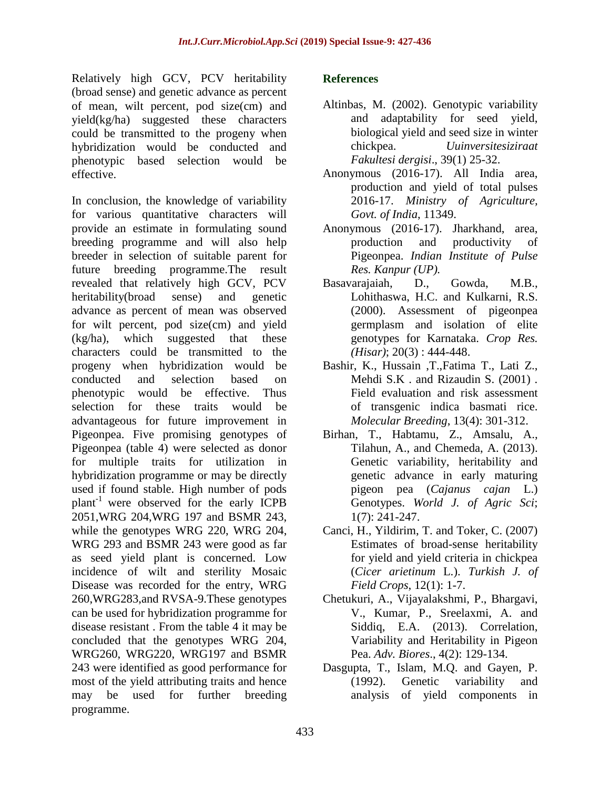Relatively high GCV, PCV heritability (broad sense) and genetic advance as percent of mean, wilt percent, pod size(cm) and yield(kg/ha) suggested these characters could be transmitted to the progeny when hybridization would be conducted and phenotypic based selection would be effective.

In conclusion, the knowledge of variability for various quantitative characters will provide an estimate in formulating sound breeding programme and will also help breeder in selection of suitable parent for future breeding programme.The result revealed that relatively high GCV, PCV heritability(broad sense) and genetic advance as percent of mean was observed for wilt percent, pod size(cm) and yield (kg/ha), which suggested that these characters could be transmitted to the progeny when hybridization would be conducted and selection based on phenotypic would be effective. Thus selection for these traits would be advantageous for future improvement in Pigeonpea. Five promising genotypes of Pigeonpea (table 4) were selected as donor for multiple traits for utilization in hybridization programme or may be directly used if found stable. High number of pods plant-1 were observed for the early ICPB 2051,WRG 204,WRG 197 and BSMR 243, while the genotypes WRG 220, WRG 204, WRG 293 and BSMR 243 were good as far as seed yield plant is concerned. Low incidence of wilt and sterility Mosaic Disease was recorded for the entry, WRG 260,WRG283,and RVSA-9.These genotypes can be used for hybridization programme for disease resistant . From the table 4 it may be concluded that the genotypes WRG 204, WRG260, WRG220, WRG197 and BSMR 243 were identified as good performance for most of the yield attributing traits and hence may be used for further breeding programme.

### **References**

- Altinbas, M. (2002). Genotypic variability and adaptability for seed yield, biological yield and seed size in winter chickpea. *Uuinversitesiziraat Fakultesi dergisi*., 39(1) 25-32.
- Anonymous (2016-17). All India area, production and yield of total pulses 2016-17. *Ministry of Agriculture, Govt. of India*, 11349.
- Anonymous (2016-17). Jharkhand, area, production and productivity of Pigeonpea. *Indian Institute of Pulse Res. Kanpur (UP).*
- Basavarajaiah, D., Gowda, M.B., Lohithaswa, H.C. and Kulkarni, R.S. (2000). Assessment of pigeonpea germplasm and isolation of elite genotypes for Karnataka. *Crop Res. (Hisar)*; 20(3) : 444-448.
- Bashir, K., Hussain ,T.,Fatima T., Lati Z., Mehdi S.K . and Rizaudin S. (2001) . Field evaluation and risk assessment of transgenic indica basmati rice. *Molecular Breeding*, 13(4): 301-312.
- Birhan, T., Habtamu, Z., Amsalu, A., Tilahun, A., and Chemeda, A. (2013). Genetic variability, heritability and genetic advance in early maturing pigeon pea (*Cajanus cajan* L.) Genotypes. *World J. of Agric Sci*; 1(7): 241-247.
- Canci, H., Yildirim, T. and Toker, C. (2007) Estimates of broad-sense heritability for yield and yield criteria in chickpea (*Cicer arietinum* L.). *Turkish J. of Field Crops*, 12(1): 1-7.
- Chetukuri, A., Vijayalakshmi, P., Bhargavi, V., Kumar, P., Sreelaxmi, A. and Siddiq, E.A. (2013). Correlation, Variability and Heritability in Pigeon Pea. *Adv. Biores*., 4(2): 129-134.
- Dasgupta, T., Islam, M.Q. and Gayen, P. (1992). Genetic variability and analysis of yield components in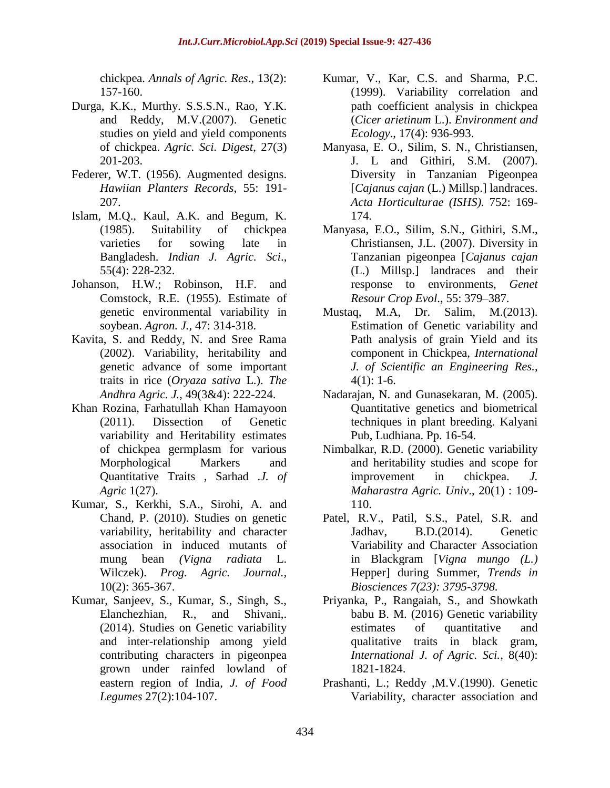chickpea. *Annals of Agric. Res*., 13(2): 157-160.

- Durga, K.K., Murthy. S.S.S.N., Rao, Y.K. and Reddy, M.V.(2007). Genetic studies on yield and yield components of chickpea. *Agric. Sci. Digest*, 27(3) 201-203.
- Federer, W.T. (1956). Augmented designs. *Hawiian Planters Records*, 55: 191- 207.
- Islam, M.Q., Kaul, A.K. and Begum, K. (1985). Suitability of chickpea varieties for sowing late in Bangladesh. *Indian J. Agric. Sci*., 55(4): 228-232.
- Johanson, H.W.; Robinson, H.F. and Comstock, R.E. (1955). Estimate of genetic environmental variability in soybean. *Agron. J.,* 47: 314-318.
- Kavita, S. and Reddy, N. and Sree Rama (2002). Variability, heritability and genetic advance of some important traits in rice (*Oryaza sativa* L.). *The Andhra Agric. J.*, 49(3&4): 222-224.
- Khan Rozina, Farhatullah Khan Hamayoon (2011). Dissection of Genetic variability and Heritability estimates of chickpea germplasm for various Morphological Markers and Quantitative Traits , Sarhad .*J. of Agric* 1(27).
- Kumar, S., Kerkhi, S.A., Sirohi, A. and Chand, P. (2010). Studies on genetic variability, heritability and character association in induced mutants of mung bean *(Vigna radiata* L. Wilczek). *Prog. Agric. Journal.,*  10(2): 365-367.
- Kumar, Sanjeev, S., Kumar, S., Singh, S., Elanchezhian, R., and Shivani,. (2014). Studies on Genetic variability and inter-relationship among yield contributing characters in pigeonpea grown under rainfed lowland of eastern region of India*, J. of Food Legumes* 27(2):104-107.
- Kumar, V., Kar, C.S. and Sharma, P.C. (1999). Variability correlation and path coefficient analysis in chickpea (*Cicer arietinum* L.). *Environment and Ecology*., 17(4): 936-993.
- Manyasa, E. O., Silim, S. N., Christiansen, J. L and Githiri, S.M. (2007). Diversity in Tanzanian Pigeonpea [*Cajanus cajan* (L.) Millsp.] landraces. *Acta Horticulturae (ISHS).* 752: 169- 174.
- Manyasa, E.O., Silim, S.N., Githiri, S.M., Christiansen, J.L. (2007). Diversity in Tanzanian pigeonpea [*Cajanus cajan*  (L.) Millsp.] landraces and their response to environments, *Genet Resour Crop Evol*., 55: 379–387.
- Mustaq, M.A, Dr. Salim, M.(2013). Estimation of Genetic variability and Path analysis of grain Yield and its component in Chickpea, *International J. of Scientific an Engineering Res.*,  $4(1): 1-6.$
- Nadarajan, N. and Gunasekaran, M. (2005). Quantitative genetics and biometrical techniques in plant breeding. Kalyani Pub, Ludhiana. Pp. 16-54.
- Nimbalkar, R.D. (2000). Genetic variability and heritability studies and scope for improvement in chickpea. *J. Maharastra Agric. Univ*., 20(1) : 109- 110.
- Patel, R.V., Patil, S.S., Patel, S.R. and Jadhav, B.D.(2014). Genetic Variability and Character Association in Blackgram [*Vigna mungo (L.)* Hepper] during Summer, *Trends in Biosciences 7(23): 3795-3798.*
- Priyanka, P., Rangaiah, S., and Showkath babu B. M. (2016) Genetic variability estimates of quantitative and qualitative traits in black gram, *International J. of Agric. Sci.*, 8(40): 1821-1824.
- Prashanti, L.; Reddy ,M.V.(1990). Genetic Variability, character association and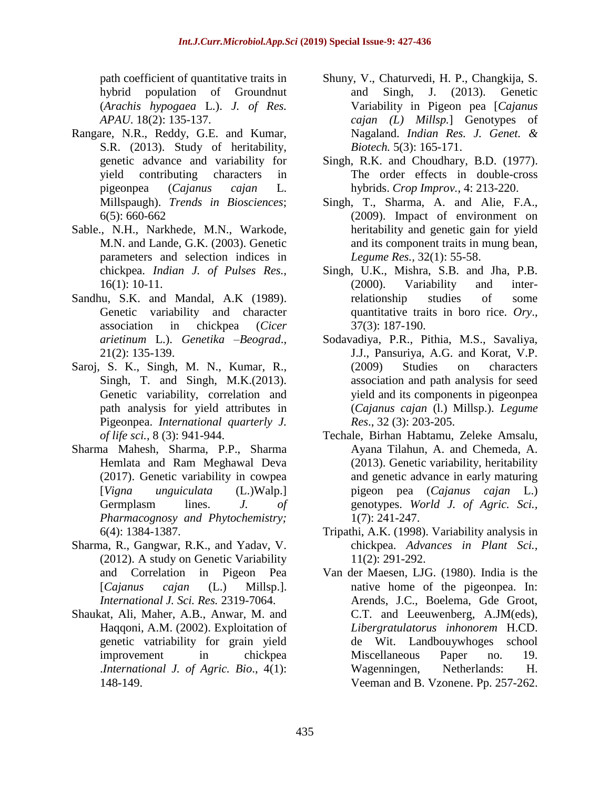path coefficient of quantitative traits in hybrid population of Groundnut (*Arachis hypogaea* L.). *J. of Res. APAU*. 18(2): 135-137.

- Rangare, N.R., Reddy, G.E. and Kumar, S.R. (2013). Study of heritability, genetic advance and variability for yield contributing characters in pigeonpea (*Cajanus cajan* L. Millspaugh). *Trends in Biosciences*; 6(5): 660-662
- Sable., N.H., Narkhede, M.N., Warkode, M.N. and Lande, G.K. (2003). Genetic parameters and selection indices in chickpea. *Indian J. of Pulses Res.,* 16(1): 10-11.
- Sandhu, S.K. and Mandal, A.K (1989). Genetic variability and character association in chickpea (*Cicer arietinum* L.). *Genetika –Beograd*., 21(2): 135-139.
- Saroj, S. K., Singh, M. N., Kumar, R., Singh, T. and Singh, M.K.(2013). Genetic variability, correlation and path analysis for yield attributes in Pigeonpea. *International quarterly J. of life sci.,* 8 (3): 941-944.
- Sharma Mahesh, Sharma, P.P., Sharma Hemlata and Ram Meghawal Deva (2017). Genetic variability in cowpea [*Vigna unguiculata* (L.)Walp.] Germplasm lines. *J. of Pharmacognosy and Phytochemistry;* 6(4): 1384-1387.
- Sharma, R., Gangwar, R.K., and Yadav, V. (2012). A study on Genetic Variability and Correlation in Pigeon Pea [*Cajanus cajan* (L.) Millsp.]. *International J. Sci. Res.* 2319-7064.
- Shaukat, Ali, Maher, A.B., Anwar, M. and Haqqoni, A.M. (2002). Exploitation of genetic vatriability for grain yield improvement in chickpea .*International J. of Agric. Bio*., 4(1): 148-149.
- Shuny, V., Chaturvedi, H. P., Changkija, S. and Singh, J. (2013). Genetic Variability in Pigeon pea [*Cajanus cajan (L) Millsp.*] Genotypes of Nagaland. *Indian Res. J. Genet. & Biotech.* 5(3): 165-171.
- Singh, R.K. and Choudhary, B.D. (1977). The order effects in double-cross hybrids. *Crop Improv.*, 4: 213-220.
- Singh, T., Sharma, A. and Alie, F.A., (2009). Impact of environment on heritability and genetic gain for yield and its component traits in mung bean, *Legume Res.,* 32(1): 55-58.
- Singh, U.K., Mishra, S.B. and Jha, P.B. (2000). Variability and interrelationship studies of some quantitative traits in boro rice. *Ory*., 37(3): 187-190.
- Sodavadiya, P.R., Pithia, M.S., Savaliya, J.J., Pansuriya, A.G. and Korat, V.P. (2009) Studies on characters association and path analysis for seed yield and its components in pigeonpea (*Cajanus cajan* (l.) Millsp.). *Legume Res*., 32 (3): 203-205.
- Techale, Birhan Habtamu, Zeleke Amsalu, Ayana Tilahun, A. and Chemeda, A. (2013). Genetic variability, heritability and genetic advance in early maturing pigeon pea (*Cajanus cajan* L.) genotypes. *World J. of Agric. Sci.,*  1(7): 241-247.
- Tripathi, A.K. (1998). Variability analysis in chickpea. *Advances in Plant Sci.,*  11(2): 291-292.
- Van der Maesen, LJG. (1980). India is the native home of the pigeonpea. In: Arends, J.C., Boelema, Gde Groot, C.T. and Leeuwenberg, A.JM(eds), *Libergratulatorus inhonorem* H.CD. de Wit. Landbouywhoges school Miscellaneous Paper no. 19. Wagenningen, Netherlands: H. Veeman and B. Vzonene. Pp. 257-262.